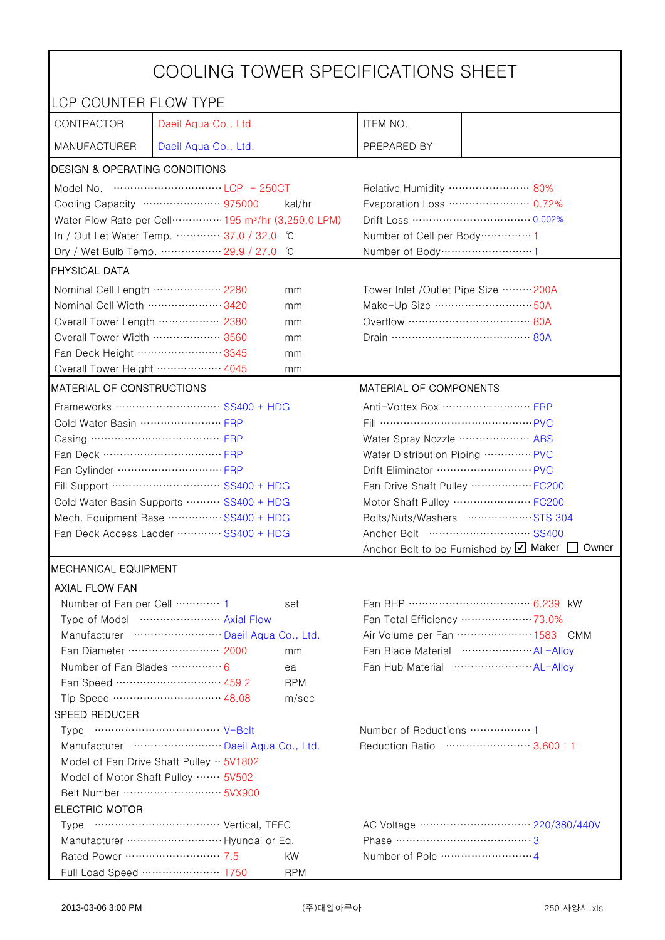| COOLING TOWER SPECIFICATIONS SHEET                                            |                                         |            |                                                 |                                                    |  |
|-------------------------------------------------------------------------------|-----------------------------------------|------------|-------------------------------------------------|----------------------------------------------------|--|
| LCP COUNTER FLOW TYPE                                                         |                                         |            |                                                 |                                                    |  |
| CONTRACTOR                                                                    | Daeil Aqua Co., Ltd.                    |            | ITEM NO.                                        |                                                    |  |
| <b>MANUFACTURER</b>                                                           | Daeil Aqua Co., Ltd.                    |            | PREPARED BY                                     |                                                    |  |
| <b>DESIGN &amp; OPERATING CONDITIONS</b>                                      |                                         |            |                                                 |                                                    |  |
|                                                                               |                                         |            | Relative Humidity …………………… 80%                  |                                                    |  |
| Cooling Capacity ………………… 975000<br>kal/hr                                     |                                         |            | Evaporation Loss ………………… 0.72%                  |                                                    |  |
| Water Flow Rate per Cell ··············· 195 m <sup>3</sup> /hr (3,250.0 LPM) |                                         |            |                                                 |                                                    |  |
|                                                                               | In / Out Let Water Temp.  37.0 / 32.0   | °C         | Number of Cell per Body ··············· 1       |                                                    |  |
|                                                                               | Dry / Wet Bulb Temp.  29.9 / 27.0       | °C         | Number of Body ·······························1 |                                                    |  |
| PHYSICAL DATA                                                                 |                                         |            |                                                 |                                                    |  |
| Nominal Cell Length ……………… 2280                                               |                                         | mm         | Tower Inlet /Outlet Pipe Size ……… 200A          |                                                    |  |
| Nominal Cell Width 3420                                                       |                                         | mm         | Make-Up Size ………………………… 50A                     |                                                    |  |
| Overall Tower Length ……………… 2380                                              |                                         | mm         | Overflow …………………………… 80A                        |                                                    |  |
| Overall Tower Width ……………… 3560                                               |                                         | mm         |                                                 |                                                    |  |
| Fan Deck Height …………………… 3345                                                 |                                         | mm         |                                                 |                                                    |  |
| Overall Tower Height  4045                                                    |                                         | mm         |                                                 |                                                    |  |
| MATERIAL OF CONSTRUCTIONS                                                     |                                         |            | MATERIAL OF COMPONENTS                          |                                                    |  |
|                                                                               | Frameworks ………………………… SS400 + HDG       |            | Anti-Vortex Box  FRP                            |                                                    |  |
| Cold Water Basin  FRP                                                         |                                         |            | Fill …………………………………… PVC                         |                                                    |  |
|                                                                               |                                         |            | Water Spray Nozzle ………………… ABS                  |                                                    |  |
|                                                                               |                                         |            | Water Distribution Piping  PVC                  |                                                    |  |
|                                                                               |                                         |            | Drift Eliminator  PVC                           |                                                    |  |
| Fill Support ………………………… SS400 + HDG                                           |                                         |            | Fan Drive Shaft Pulley ………………FC200              |                                                    |  |
| Cold Water Basin Supports  SS400 + HDG                                        |                                         |            |                                                 | Motor Shaft Pulley  FC200                          |  |
| Mech. Equipment Base SS400 + HDG                                              |                                         |            |                                                 | Bolts/Nuts/Washers  STS 304                        |  |
|                                                                               | Fan Deck Access Ladder ………… SS400 + HDG |            |                                                 |                                                    |  |
|                                                                               |                                         |            |                                                 | Anchor Bolt to be Furnished by Ø Maker [<br>Owner  |  |
| <b>MECHANICAL EQUIPMENT</b>                                                   |                                         |            |                                                 |                                                    |  |
| <b>AXIAL FLOW FAN</b>                                                         |                                         |            |                                                 |                                                    |  |
|                                                                               |                                         | set        |                                                 | Fan BHP ……………………………… 6.239 kW                      |  |
|                                                                               | Type of Model  Axial Flow               |            |                                                 | Fan Total Efficiency  73.0%                        |  |
|                                                                               | Manufacturer  Daeil Aqua Co., Ltd.      |            |                                                 | Air Volume per Fan  1583 CMM                       |  |
|                                                                               | Fan Diameter ……………………… 2000             | mm         |                                                 | Fan Blade Material ······················ AL-Allov |  |
| Number of Fan Blades  6                                                       |                                         | ea         |                                                 |                                                    |  |
|                                                                               | Fan Speed ………………………… 459.2              | <b>RPM</b> |                                                 |                                                    |  |
|                                                                               | Tip Speed ………………………… 48.08              | m/sec      |                                                 |                                                    |  |
| SPEED REDUCER                                                                 |                                         |            |                                                 |                                                    |  |
|                                                                               |                                         |            | Number of Reductions  1                         |                                                    |  |
| Reduction Ratio …………………… 3.600:1<br>Manufacturer  Daeil Aqua Co., Ltd.        |                                         |            |                                                 |                                                    |  |
| Model of Fan Drive Shaft Pulley $\cdot \cdot$ 5V1802                          |                                         |            |                                                 |                                                    |  |
| Model of Motor Shaft Pulley  5V502                                            |                                         |            |                                                 |                                                    |  |
| <b>ELECTRIC MOTOR</b>                                                         |                                         |            |                                                 |                                                    |  |
|                                                                               |                                         |            |                                                 |                                                    |  |
|                                                                               |                                         |            | Phase ……………………………………3                           |                                                    |  |
| Rated Power ………………………… 7.5                                                    |                                         | kW         |                                                 |                                                    |  |
|                                                                               | Full Load Speed ………………… 1750            | <b>RPM</b> |                                                 |                                                    |  |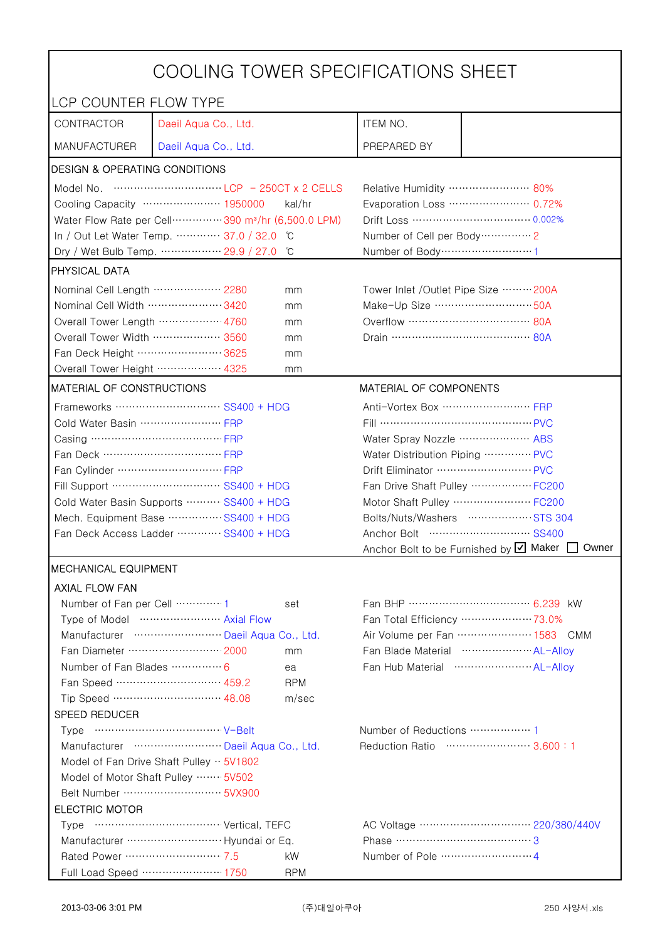| COOLING TOWER SPECIFICATIONS SHEET                   |                                                                                                                                                                                                                                                                                                                                      |                                                   |                                                      |                                 |  |
|------------------------------------------------------|--------------------------------------------------------------------------------------------------------------------------------------------------------------------------------------------------------------------------------------------------------------------------------------------------------------------------------------|---------------------------------------------------|------------------------------------------------------|---------------------------------|--|
| LCP COUNTER FLOW TYPE                                |                                                                                                                                                                                                                                                                                                                                      |                                                   |                                                      |                                 |  |
| CONTRACTOR                                           | Daeil Aqua Co., Ltd.                                                                                                                                                                                                                                                                                                                 |                                                   | ITEM NO.                                             |                                 |  |
| <b>MANUFACTURER</b>                                  | Daeil Aqua Co., Ltd.                                                                                                                                                                                                                                                                                                                 |                                                   | PREPARED BY                                          |                                 |  |
| <b>DESIGN &amp; OPERATING CONDITIONS</b>             |                                                                                                                                                                                                                                                                                                                                      |                                                   |                                                      |                                 |  |
|                                                      | Model No. $\cdots$ $\cdots$ $\cdots$ $\cdots$ $\cdots$ $\cdots$ $\cdots$ $\cdots$ $\cdots$ $\cdots$ $\cdots$ $\cdots$ $\cdots$ $\cdots$ $\cdots$ $\cdots$ $\cdots$ $\cdots$ $\cdots$ $\cdots$ $\cdots$ $\cdots$ $\cdots$ $\cdots$ $\cdots$ $\cdots$ $\cdots$ $\cdots$ $\cdots$ $\cdots$ $\cdots$ $\cdots$ $\cdots$ $\cdots$ $\cdots$ |                                                   | Relative Humidity …………………… 80%                       |                                 |  |
|                                                      | Cooling Capacity ………………… 1950000                                                                                                                                                                                                                                                                                                     | kal/hr                                            |                                                      | Evaporation Loss …………………… 0.72% |  |
|                                                      | Water Flow Rate per Cell ··············· 390 m <sup>3</sup> /hr (6,500.0 LPM)                                                                                                                                                                                                                                                        |                                                   |                                                      |                                 |  |
|                                                      | In / Out Let Water Temp.  37.0 / 32.0                                                                                                                                                                                                                                                                                                | C°                                                | Number of Cell per Body ··············· 2            |                                 |  |
|                                                      | Dry / Wet Bulb Temp.  29.9 / 27.0                                                                                                                                                                                                                                                                                                    | °C                                                | Number of Body ··································1   |                                 |  |
| <b>PHYSICAL DATA</b>                                 |                                                                                                                                                                                                                                                                                                                                      |                                                   |                                                      |                                 |  |
| Nominal Cell Length  2280                            |                                                                                                                                                                                                                                                                                                                                      | mm                                                | Tower Inlet /Outlet Pipe Size ……… 200A               |                                 |  |
| Nominal Cell Width 3420                              |                                                                                                                                                                                                                                                                                                                                      | mm                                                | Make-Up Size ································ 50A    |                                 |  |
| Overall Tower Length ……………… 4760                     |                                                                                                                                                                                                                                                                                                                                      | mm                                                |                                                      |                                 |  |
| Overall Tower Width  3560                            |                                                                                                                                                                                                                                                                                                                                      | mm                                                |                                                      |                                 |  |
| Fan Deck Height …………………… 3625                        |                                                                                                                                                                                                                                                                                                                                      | mm                                                |                                                      |                                 |  |
| Overall Tower Height ……………… 4325                     |                                                                                                                                                                                                                                                                                                                                      | mm                                                |                                                      |                                 |  |
| MATERIAL OF CONSTRUCTIONS                            |                                                                                                                                                                                                                                                                                                                                      |                                                   | MATERIAL OF COMPONENTS                               |                                 |  |
|                                                      | Frameworks  SS400 + HDG                                                                                                                                                                                                                                                                                                              |                                                   | Anti-Vortex Box ……………………… FRP                        |                                 |  |
| Cold Water Basin  FRP                                |                                                                                                                                                                                                                                                                                                                                      |                                                   | Fill …………………………………… PVC                              |                                 |  |
| Casing …………………………………… FRP                            |                                                                                                                                                                                                                                                                                                                                      |                                                   | Water Spray Nozzle ………………… ABS                       |                                 |  |
| Fan Deck …………………………… FRP                             |                                                                                                                                                                                                                                                                                                                                      |                                                   | Water Distribution Piping  PVC                       |                                 |  |
|                                                      |                                                                                                                                                                                                                                                                                                                                      |                                                   |                                                      |                                 |  |
| Fill Support ………………………… SS400 + HDG                  |                                                                                                                                                                                                                                                                                                                                      |                                                   | Fan Drive Shaft Pulley  FC200                        |                                 |  |
| Cold Water Basin Supports  SS400 + HDG               |                                                                                                                                                                                                                                                                                                                                      |                                                   | Motor Shaft Pulley  FC200                            |                                 |  |
| Mech. Equipment Base SS400 + HDG                     |                                                                                                                                                                                                                                                                                                                                      |                                                   | Bolts/Nuts/Washers  STS 304                          |                                 |  |
| Fan Deck Access Ladder ………… SS400 + HDG              |                                                                                                                                                                                                                                                                                                                                      | Anchor Bolt to be Furnished by Ø Maker [<br>Owner |                                                      |                                 |  |
| <b>IMECHANICAL EQUIPMENT</b>                         |                                                                                                                                                                                                                                                                                                                                      |                                                   |                                                      |                                 |  |
| <b>AXIAL FLOW FAN</b>                                |                                                                                                                                                                                                                                                                                                                                      |                                                   |                                                      |                                 |  |
| Number of Fan per Cell  1                            |                                                                                                                                                                                                                                                                                                                                      | set                                               |                                                      |                                 |  |
| Type of Model  Axial Flow                            |                                                                                                                                                                                                                                                                                                                                      |                                                   | Fan Total Efficiency  73.0%                          |                                 |  |
| Manufacturer  Daeil Aqua Co., Ltd.                   |                                                                                                                                                                                                                                                                                                                                      |                                                   | Air Volume per Fan  1583 CMM                         |                                 |  |
| Fan Diameter …………………… 2000<br>mm                     |                                                                                                                                                                                                                                                                                                                                      |                                                   | Fan Blade Material ······················ AL-Allov   |                                 |  |
| Number of Fan Blades  6<br>ea                        |                                                                                                                                                                                                                                                                                                                                      |                                                   | Fan Hub Material ·························· AL-Alloy |                                 |  |
|                                                      | Fan Speed ………………………… 459.2                                                                                                                                                                                                                                                                                                           | <b>RPM</b>                                        |                                                      |                                 |  |
|                                                      | Tip Speed ………………………… 48.08                                                                                                                                                                                                                                                                                                           | m/sec                                             |                                                      |                                 |  |
| SPEED REDUCER                                        |                                                                                                                                                                                                                                                                                                                                      |                                                   |                                                      |                                 |  |
|                                                      |                                                                                                                                                                                                                                                                                                                                      |                                                   | Number of Reductions  1                              |                                 |  |
| Manufacturer  Daeil Aqua Co., Ltd.                   |                                                                                                                                                                                                                                                                                                                                      |                                                   | Reduction Ratio …………………… 3.600:1                     |                                 |  |
| Model of Fan Drive Shaft Pulley $\cdot \cdot$ 5V1802 |                                                                                                                                                                                                                                                                                                                                      |                                                   |                                                      |                                 |  |
| Model of Motor Shaft Pulley  5V502                   |                                                                                                                                                                                                                                                                                                                                      |                                                   |                                                      |                                 |  |
|                                                      |                                                                                                                                                                                                                                                                                                                                      |                                                   |                                                      |                                 |  |
| <b>ELECTRIC MOTOR</b>                                |                                                                                                                                                                                                                                                                                                                                      |                                                   |                                                      |                                 |  |
|                                                      |                                                                                                                                                                                                                                                                                                                                      |                                                   |                                                      |                                 |  |
|                                                      |                                                                                                                                                                                                                                                                                                                                      |                                                   | Phase …………………………………3                                 |                                 |  |
| Rated Power ………………………… 7.5                           |                                                                                                                                                                                                                                                                                                                                      | kW.                                               |                                                      |                                 |  |
|                                                      | Full Load Speed ………………… 1750                                                                                                                                                                                                                                                                                                         | <b>RPM</b>                                        |                                                      |                                 |  |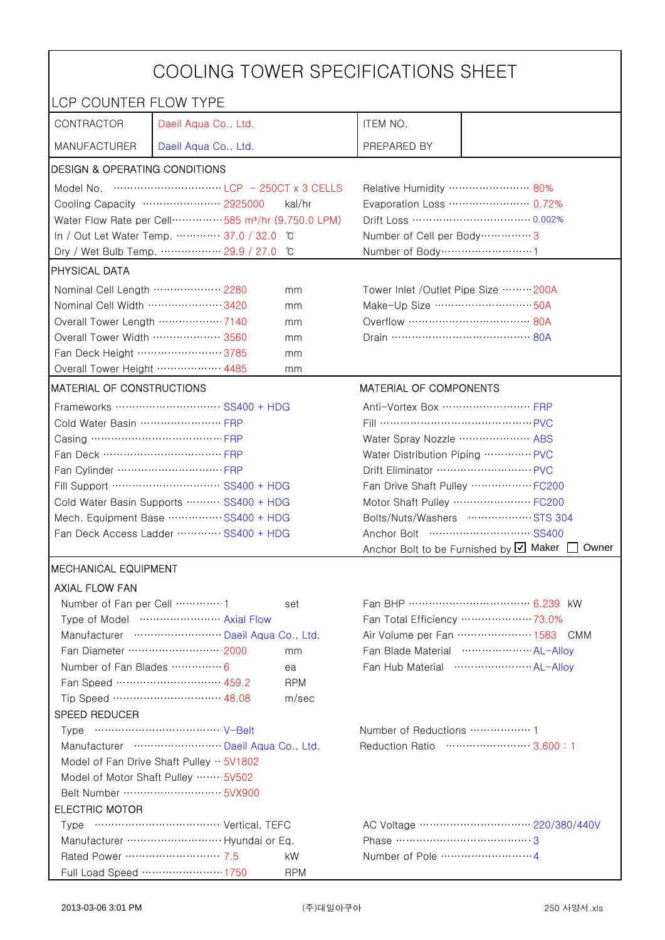| COOLING TOWER SPECIFICATIONS SHEET                                                         |                                                                                                                                                                                                                                                                                                                                      |                                                                                    |                                                 |                                                             |  |
|--------------------------------------------------------------------------------------------|--------------------------------------------------------------------------------------------------------------------------------------------------------------------------------------------------------------------------------------------------------------------------------------------------------------------------------------|------------------------------------------------------------------------------------|-------------------------------------------------|-------------------------------------------------------------|--|
| LCP COUNTER FLOW TYPE                                                                      |                                                                                                                                                                                                                                                                                                                                      |                                                                                    |                                                 |                                                             |  |
| CONTRACTOR                                                                                 | Daeil Aqua Co., Ltd.                                                                                                                                                                                                                                                                                                                 |                                                                                    | ITEM NO.                                        |                                                             |  |
| <b>MANUFACTURER</b>                                                                        | Daeil Aqua Co., Ltd.                                                                                                                                                                                                                                                                                                                 |                                                                                    | PREPARED BY                                     |                                                             |  |
| <b>DESIGN &amp; OPERATING CONDITIONS</b>                                                   |                                                                                                                                                                                                                                                                                                                                      |                                                                                    |                                                 |                                                             |  |
|                                                                                            | Model No. $\cdots$ $\cdots$ $\cdots$ $\cdots$ $\cdots$ $\cdots$ $\cdots$ $\cdots$ $\cdots$ $\cdots$ $\cdots$ $\cdots$ $\cdots$ $\cdots$ $\cdots$ $\cdots$ $\cdots$ $\cdots$ $\cdots$ $\cdots$ $\cdots$ $\cdots$ $\cdots$ $\cdots$ $\cdots$ $\cdots$ $\cdots$ $\cdots$ $\cdots$ $\cdots$ $\cdots$ $\cdots$ $\cdots$ $\cdots$ $\cdots$ |                                                                                    | Relative Humidity …………………… 80%                  |                                                             |  |
| Cooling Capacity ………………… 2925000<br>kal/hr                                                 |                                                                                                                                                                                                                                                                                                                                      |                                                                                    | Evaporation Loss …………………… 0.72%                 |                                                             |  |
| Water Flow Rate per Cell ················ 585 m <sup>3</sup> /hr (9,750.0 LPM)             |                                                                                                                                                                                                                                                                                                                                      |                                                                                    |                                                 | Drift Loss …………………………… 0.002%                               |  |
|                                                                                            | In / Out Let Water Temp.  37.0 / 32.0 °C                                                                                                                                                                                                                                                                                             |                                                                                    | Number of Cell per Body ················ 3      |                                                             |  |
|                                                                                            | Dry / Wet Bulb Temp.  29.9 / 27.0                                                                                                                                                                                                                                                                                                    | °C                                                                                 | Number of Body ·······························1 |                                                             |  |
| <b>PHYSICAL DATA</b>                                                                       |                                                                                                                                                                                                                                                                                                                                      |                                                                                    |                                                 |                                                             |  |
| Nominal Cell Length ……………… 2280                                                            |                                                                                                                                                                                                                                                                                                                                      | mm                                                                                 | Tower Inlet /Outlet Pipe Size  200A             |                                                             |  |
| Nominal Cell Width 3420                                                                    |                                                                                                                                                                                                                                                                                                                                      | mm                                                                                 | Make-Up Size  50A                               |                                                             |  |
| Overall Tower Length ……………… 7140                                                           |                                                                                                                                                                                                                                                                                                                                      | mm                                                                                 |                                                 |                                                             |  |
| Overall Tower Width  3560                                                                  |                                                                                                                                                                                                                                                                                                                                      | mm                                                                                 |                                                 |                                                             |  |
| Fan Deck Height …………………… 3785                                                              |                                                                                                                                                                                                                                                                                                                                      | mm                                                                                 |                                                 |                                                             |  |
| Overall Tower Height ……………… 4485                                                           |                                                                                                                                                                                                                                                                                                                                      | mm                                                                                 |                                                 |                                                             |  |
| MATERIAL OF CONSTRUCTIONS                                                                  |                                                                                                                                                                                                                                                                                                                                      |                                                                                    | MATERIAL OF COMPONENTS                          |                                                             |  |
|                                                                                            | Frameworks ……………………… SS400 + HDG                                                                                                                                                                                                                                                                                                     |                                                                                    | Anti-Vortex Box ……………………… FRP                   |                                                             |  |
| Cold Water Basin  FRP                                                                      |                                                                                                                                                                                                                                                                                                                                      |                                                                                    |                                                 |                                                             |  |
| Casing …………………………………… FRP                                                                  |                                                                                                                                                                                                                                                                                                                                      |                                                                                    | Water Spray Nozzle  ABS                         |                                                             |  |
| Fan Deck …………………………… FRP                                                                   |                                                                                                                                                                                                                                                                                                                                      |                                                                                    | Water Distribution Piping  PVC                  |                                                             |  |
|                                                                                            |                                                                                                                                                                                                                                                                                                                                      |                                                                                    | Drift Eliminator  PVC                           |                                                             |  |
| Fill Support ………………………… SS400 + HDG                                                        |                                                                                                                                                                                                                                                                                                                                      |                                                                                    |                                                 | Fan Drive Shaft Pulley  FC200                               |  |
| Cold Water Basin Supports  SS400 + HDG                                                     |                                                                                                                                                                                                                                                                                                                                      |                                                                                    |                                                 | Motor Shaft Pulley  FC200                                   |  |
| Mech. Equipment Base SS400 + HDG                                                           |                                                                                                                                                                                                                                                                                                                                      |                                                                                    |                                                 | Bolts/Nuts/Washers  STS 304                                 |  |
| Fan Deck Access Ladder  SS400 + HDG                                                        |                                                                                                                                                                                                                                                                                                                                      |                                                                                    |                                                 |                                                             |  |
|                                                                                            |                                                                                                                                                                                                                                                                                                                                      |                                                                                    |                                                 | Anchor Bolt to be Furnished by $\boxtimes$ Maker [<br>Owner |  |
| <b>IMECHANICAL EQUIPMENT</b>                                                               |                                                                                                                                                                                                                                                                                                                                      |                                                                                    |                                                 |                                                             |  |
| <b>AXIAL FLOW FAN</b>                                                                      |                                                                                                                                                                                                                                                                                                                                      |                                                                                    |                                                 |                                                             |  |
| Number of Fan per Cell 1                                                                   |                                                                                                                                                                                                                                                                                                                                      | set                                                                                |                                                 |                                                             |  |
| Type of Model  Axial Flow                                                                  |                                                                                                                                                                                                                                                                                                                                      | Fan Total Efficiency ····················· 73.0%                                   |                                                 |                                                             |  |
| Manufacturer  Daeil Aqua Co., Ltd.                                                         |                                                                                                                                                                                                                                                                                                                                      | Air Volume per Fan  1583 CMM<br>Fan Blade Material ······················ AL-Allov |                                                 |                                                             |  |
|                                                                                            | Fan Diameter …………………… 2000                                                                                                                                                                                                                                                                                                           | mm                                                                                 |                                                 |                                                             |  |
| Number of Fan Blades …………… 6                                                               |                                                                                                                                                                                                                                                                                                                                      | ea                                                                                 |                                                 | Fan Hub Material  AL-Alloy                                  |  |
|                                                                                            | Fan Speed ………………………… 459.2                                                                                                                                                                                                                                                                                                           | <b>RPM</b>                                                                         |                                                 |                                                             |  |
|                                                                                            |                                                                                                                                                                                                                                                                                                                                      | m/sec                                                                              |                                                 |                                                             |  |
| SPEED REDUCER                                                                              |                                                                                                                                                                                                                                                                                                                                      |                                                                                    |                                                 |                                                             |  |
| Manufacturer  Daeil Aqua Co., Ltd.                                                         |                                                                                                                                                                                                                                                                                                                                      | Number of Reductions  1<br>Reduction Ratio …………………… 3.600:1                        |                                                 |                                                             |  |
|                                                                                            |                                                                                                                                                                                                                                                                                                                                      |                                                                                    |                                                 |                                                             |  |
| Model of Fan Drive Shaft Pulley $\cdot \cdot$ 5V1802<br>Model of Motor Shaft Pulley  5V502 |                                                                                                                                                                                                                                                                                                                                      |                                                                                    |                                                 |                                                             |  |
| Belt Number ……………………… 5VX900                                                               |                                                                                                                                                                                                                                                                                                                                      |                                                                                    |                                                 |                                                             |  |
| <b>ELECTRIC MOTOR</b>                                                                      |                                                                                                                                                                                                                                                                                                                                      |                                                                                    |                                                 |                                                             |  |
|                                                                                            |                                                                                                                                                                                                                                                                                                                                      |                                                                                    |                                                 |                                                             |  |
|                                                                                            |                                                                                                                                                                                                                                                                                                                                      |                                                                                    | Phase ……………………………………3                           |                                                             |  |
| Rated Power ………………………… 7.5                                                                 |                                                                                                                                                                                                                                                                                                                                      | kW                                                                                 |                                                 |                                                             |  |
|                                                                                            | Full Load Speed ………………… 1750                                                                                                                                                                                                                                                                                                         | <b>RPM</b>                                                                         |                                                 |                                                             |  |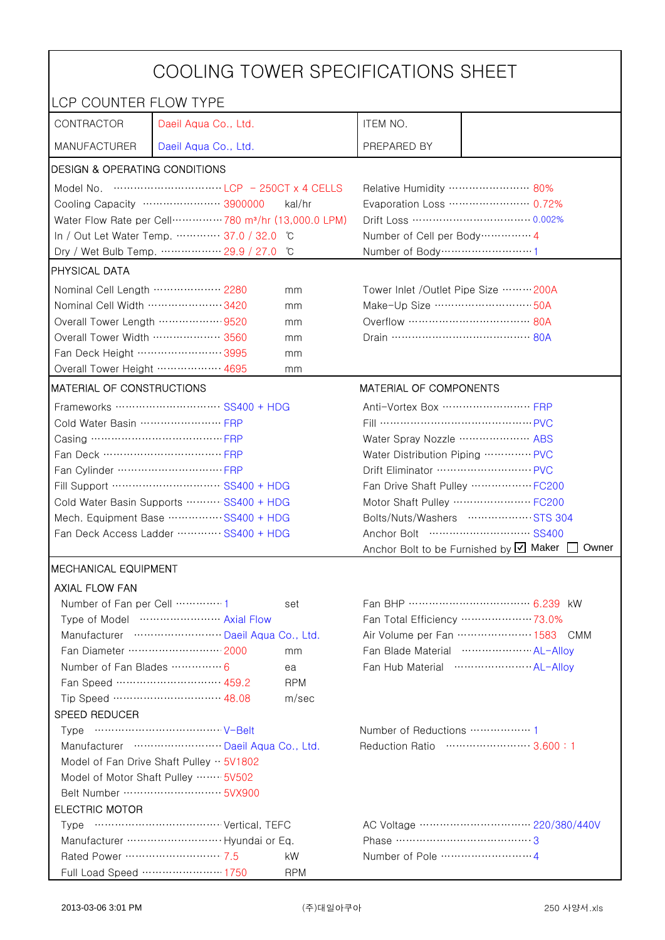| COOLING TOWER SPECIFICATIONS SHEET                                                                                             |                                                                                |                                |                                                     |                                                             |  |
|--------------------------------------------------------------------------------------------------------------------------------|--------------------------------------------------------------------------------|--------------------------------|-----------------------------------------------------|-------------------------------------------------------------|--|
| LCP COUNTER FLOW TYPE                                                                                                          |                                                                                |                                |                                                     |                                                             |  |
| CONTRACTOR                                                                                                                     | Daeil Aqua Co., Ltd.                                                           |                                | ITEM NO.                                            |                                                             |  |
| <b>MANUFACTURER</b>                                                                                                            | Daeil Aqua Co., Ltd.                                                           |                                | PREPARED BY                                         |                                                             |  |
| DESIGN & OPERATING CONDITIONS                                                                                                  |                                                                                |                                |                                                     |                                                             |  |
|                                                                                                                                |                                                                                |                                | Relative Humidity …………………… 80%                      |                                                             |  |
|                                                                                                                                | Cooling Capacity ………………… 3900000                                               | kal/hr                         | Evaporation Loss ………………… 0.72%                      |                                                             |  |
|                                                                                                                                | Water Flow Rate per Cell ··············· 780 m <sup>3</sup> /hr (13,000.0 LPM) |                                |                                                     |                                                             |  |
|                                                                                                                                | In / Out Let Water Temp.  37.0 / 32.0                                          | °C                             | Number of Cell per Body ··············· 4           |                                                             |  |
|                                                                                                                                | Dry / Wet Bulb Temp.  29.9 / 27.0                                              | °C                             | Number of Body ······························1      |                                                             |  |
| <b>PHYSICAL DATA</b>                                                                                                           |                                                                                |                                |                                                     |                                                             |  |
| Nominal Cell Length ……………… 2280<br>mm                                                                                          |                                                                                |                                | Tower Inlet /Outlet Pipe Size  200A                 |                                                             |  |
| Nominal Cell Width 3420                                                                                                        |                                                                                | mm                             | Make-Up Size ………………………… 50A                         |                                                             |  |
| Overall Tower Length  9520                                                                                                     |                                                                                | mm                             |                                                     |                                                             |  |
| Overall Tower Width ………………… 3560                                                                                               |                                                                                | mm                             | Drain ………………………………… 80A                             |                                                             |  |
| Fan Deck Height …………………… 3995                                                                                                  |                                                                                | mm                             |                                                     |                                                             |  |
| Overall Tower Height  4695                                                                                                     |                                                                                | mm                             |                                                     |                                                             |  |
| <b>MATERIAL OF CONSTRUCTIONS</b>                                                                                               |                                                                                |                                | MATERIAL OF COMPONENTS                              |                                                             |  |
|                                                                                                                                | Frameworks ……………………… SS400 + HDG                                               |                                | Anti-Vortex Box ······························· FRP |                                                             |  |
| Cold Water Basin  FRP                                                                                                          |                                                                                |                                | Fill …………………………………… PVC                             |                                                             |  |
| Casing ………………………………… FRP                                                                                                       |                                                                                | Water Spray Nozzle ………………… ABS |                                                     |                                                             |  |
| Fan Deck …………………………… FRP                                                                                                       |                                                                                | Water Distribution Piping  PVC |                                                     |                                                             |  |
|                                                                                                                                |                                                                                | Drift Eliminator ……………………… PVC |                                                     |                                                             |  |
| Fill Support ………………………… SS400 + HDG                                                                                            |                                                                                | Fan Drive Shaft Pulley  FC200  |                                                     |                                                             |  |
| Cold Water Basin Supports  SS400 + HDG                                                                                         |                                                                                |                                |                                                     | Motor Shaft Pulley  FC200                                   |  |
| Mech. Equipment Base SS400 + HDG                                                                                               |                                                                                |                                | Bolts/Nuts/Washers  STS 304                         |                                                             |  |
| Fan Deck Access Ladder ………… SS400 + HDG                                                                                        |                                                                                |                                |                                                     |                                                             |  |
|                                                                                                                                |                                                                                |                                |                                                     | Anchor Bolt to be Furnished by Ø Maker<br>Owner             |  |
| <b>MECHANICAL EQUIPMENT</b>                                                                                                    |                                                                                |                                |                                                     |                                                             |  |
| <b>AXIAL FLOW FAN</b>                                                                                                          |                                                                                |                                |                                                     |                                                             |  |
| Number of Fan per Cell 1                                                                                                       |                                                                                | set                            |                                                     | Fan BHP ……………………………… 6.239 kW                               |  |
|                                                                                                                                | Type of Model  Axial Flow<br>Manufacturer  Daeil Aqua Co., Ltd.                |                                |                                                     | Fan Total Efficiency  73.0%<br>Air Volume per Fan  1583 CMM |  |
|                                                                                                                                | Fan Diameter ……………………… 2000                                                    |                                |                                                     | Fan Blade Material  AL-Allov                                |  |
| Number of Fan Blades  6                                                                                                        |                                                                                | mm<br>ea                       |                                                     |                                                             |  |
|                                                                                                                                | Fan Speed ………………………… 459.2                                                     | <b>RPM</b>                     |                                                     |                                                             |  |
|                                                                                                                                | Tip Speed ………………………… 48.08                                                     | m/sec                          |                                                     |                                                             |  |
| SPEED REDUCER                                                                                                                  |                                                                                |                                |                                                     |                                                             |  |
|                                                                                                                                |                                                                                |                                |                                                     |                                                             |  |
|                                                                                                                                |                                                                                |                                |                                                     |                                                             |  |
| Reduction Ratio …………………… 3.600:1<br>Manufacturer  Daeil Aqua Co., Ltd.<br>Model of Fan Drive Shaft Pulley $\cdot \cdot$ 5V1802 |                                                                                |                                |                                                     |                                                             |  |
| Model of Motor Shaft Pulley  5V502                                                                                             |                                                                                |                                |                                                     |                                                             |  |
|                                                                                                                                |                                                                                |                                |                                                     |                                                             |  |
| <b>ELECTRIC MOTOR</b>                                                                                                          |                                                                                |                                |                                                     |                                                             |  |
|                                                                                                                                |                                                                                |                                |                                                     |                                                             |  |
|                                                                                                                                | Manufacturer  Hyundai or Eq.                                                   |                                | Phase ……………………………………3                               |                                                             |  |
| Rated Power ………………………… 7.5                                                                                                     |                                                                                | kW                             |                                                     |                                                             |  |
|                                                                                                                                | Full Load Speed ………………… 1750                                                   | <b>RPM</b>                     |                                                     |                                                             |  |